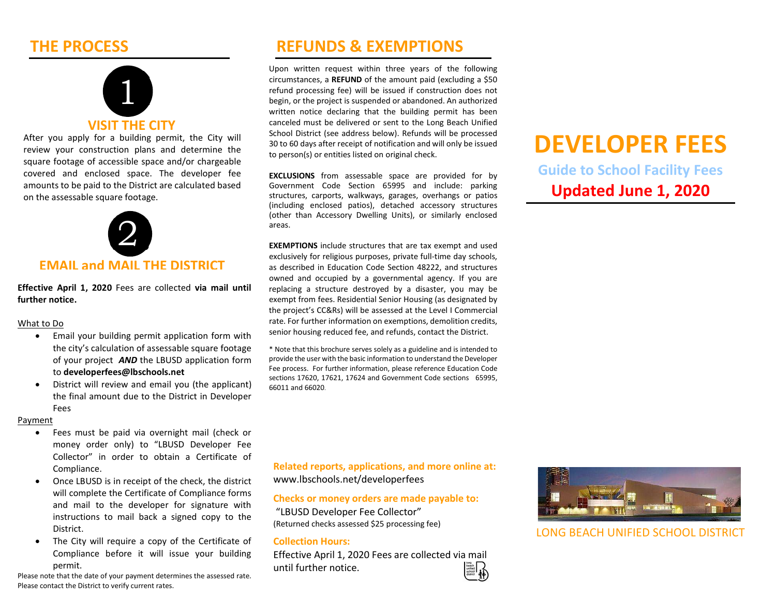## THE PROCESS



After you apply for a building permit, the City will review your construction plans and determine the square footage of accessible space and/or chargeable covered and enclosed space. The developer fee amounts to be paid to the District are calculated based on the assessable square footage.



Effective April 1, 2020 Fees are collected via mail until further notice.

#### What to Do

- Email your building permit application form with the city's calculation of assessable square footage of your project **AND** the LBUSD application form to developerfees@lbschools.net
- District will review and email you (the applicant) the final amount due to the District in Developer Fees

#### Payment

- Fees must be paid via overnight mail (check or money order only) to "LBUSD Developer Fee Collector" in order to obtain a Certificate of Compliance.
- Once LBUSD is in receipt of the check, the district will complete the Certificate of Compliance forms and mail to the developer for signature with instructions to mail back a signed copy to the District.
- The City will require a copy of the Certificate of Compliance before it will issue your building permit.

Please note that the date of your payment determines the assessed rate. Please contact the District to verify current rates.

## REFUNDS & EXEMPTIONS

Upon written request within three years of the following circumstances, a REFUND of the amount paid (excluding a \$50 refund processing fee) will be issued if construction does not begin, or the project is suspended or abandoned. An authorized written notice declaring that the building permit has been canceled must be delivered or sent to the Long Beach Unified School District (see address below). Refunds will be processed 30 to 60 days after receipt of notification and will only be issued to person(s) or entities listed on original check.

EXCLUSIONS from assessable space are provided for by Government Code Section 65995 and include: parking structures, carports, walkways, garages, overhangs or patios (including enclosed patios), detached accessory structures (other than Accessory Dwelling Units), or similarly enclosed areas.

EXEMPTIONS include structures that are tax exempt and used exclusively for religious purposes, private full-time day schools, as described in Education Code Section 48222, and structures owned and occupied by a governmental agency. If you are replacing a structure destroyed by a disaster, you may be exempt from fees. Residential Senior Housing (as designated by the project's CC&Rs) will be assessed at the Level I Commercial rate. For further information on exemptions, demolition credits, senior housing reduced fee, and refunds, contact the District.

\* Note that this brochure serves solely as a guideline and is intended to provide the user with the basic information to understand the Developer Fee process. For further information, please reference Education Code sections 17620, 17621, 17624 and Government Code sections 65995, 66011 and 66020.

# DEVELOPER FEES

Guide to School Facility Fees Updated **June 1**, 2020

Related reports, applications, and more online at: www.lbschools.net/developerfees

#### Checks or money orders are made payable to:

 "LBUSD Developer Fee Collector" (Returned checks assessed \$25 processing fee)

#### Collection Hours:

Effective April 1, 2020 Fees are collected via mail until further notice.



LONG BEACH UNIFIED SCHOOL DISTRICT